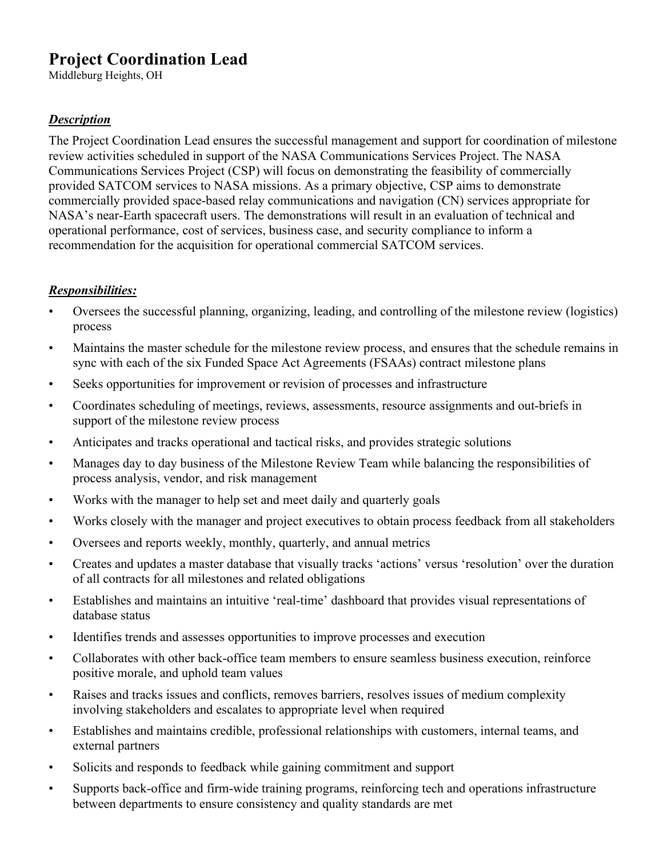# **Project Coordination Lead**

Middleburg Heights, OH

## *Description*

The Project Coordination Lead ensures the successful management and support for coordination of milestone review activities scheduled in support of the NASA Communications Services Project. The NASA Communications Services Project (CSP) will focus on demonstrating the feasibility of commercially provided SATCOM services to NASA missions. As a primary objective, CSP aims to demonstrate commercially provided space-based relay communications and navigation (CN) services appropriate for NASA's near-Earth spacecraft users. The demonstrations will result in an evaluation of technical and operational performance, cost of services, business case, and security compliance to inform a recommendation for the acquisition for operational commercial SATCOM services.

#### *Responsibilities:*

- Oversees the successful planning, organizing, leading, and controlling of the milestone review (logistics) process
- Maintains the master schedule for the milestone review process, and ensures that the schedule remains in sync with each of the six Funded Space Act Agreements (FSAAs) contract milestone plans
- Seeks opportunities for improvement or revision of processes and infrastructure
- Coordinates scheduling of meetings, reviews, assessments, resource assignments and out-briefs in support of the milestone review process
- Anticipates and tracks operational and tactical risks, and provides strategic solutions
- Manages day to day business of the Milestone Review Team while balancing the responsibilities of process analysis, vendor, and risk management
- Works with the manager to help set and meet daily and quarterly goals
- Works closely with the manager and project executives to obtain process feedback from all stakeholders
- Oversees and reports weekly, monthly, quarterly, and annual metrics
- Creates and updates a master database that visually tracks 'actions' versus 'resolution' over the duration of all contracts for all milestones and related obligations
- Establishes and maintains an intuitive 'real-time' dashboard that provides visual representations of database status
- Identifies trends and assesses opportunities to improve processes and execution
- Collaborates with other back-office team members to ensure seamless business execution, reinforce positive morale, and uphold team values
- Raises and tracks issues and conflicts, removes barriers, resolves issues of medium complexity involving stakeholders and escalates to appropriate level when required
- Establishes and maintains credible, professional relationships with customers, internal teams, and external partners
- Solicits and responds to feedback while gaining commitment and support
- Supports back-office and firm-wide training programs, reinforcing tech and operations infrastructure between departments to ensure consistency and quality standards are met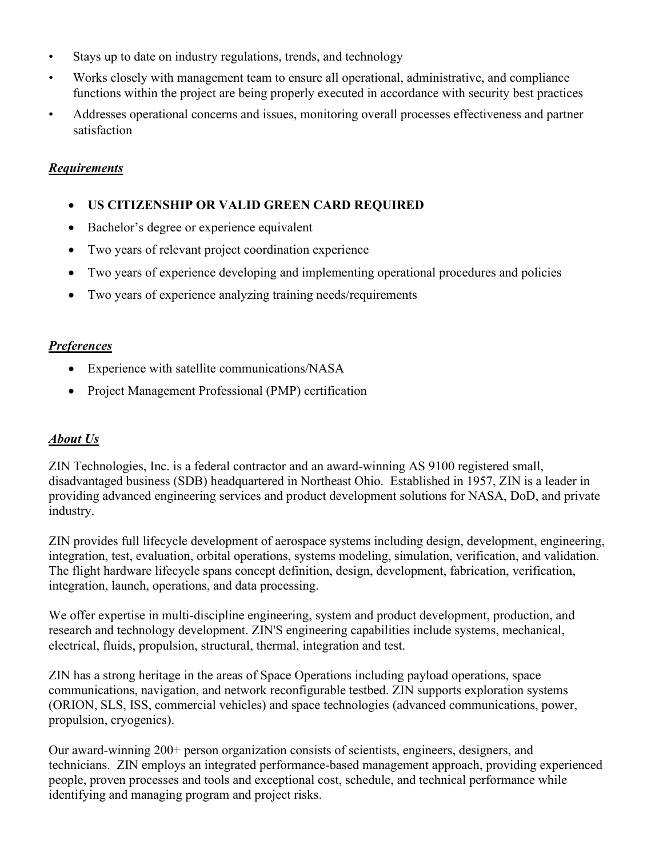- Stays up to date on industry regulations, trends, and technology
- Works closely with management team to ensure all operational, administrative, and compliance functions within the project are being properly executed in accordance with security best practices
- Addresses operational concerns and issues, monitoring overall processes effectiveness and partner satisfaction

#### *Requirements*

- **US CITIZENSHIP OR VALID GREEN CARD REQUIRED**
- Bachelor's degree or experience equivalent
- Two years of relevant project coordination experience
- Two years of experience developing and implementing operational procedures and policies
- Two years of experience analyzing training needs/requirements

#### *Preferences*

- Experience with satellite communications/NASA
- Project Management Professional (PMP) certification

## *About Us*

ZIN Technologies, Inc. is a federal contractor and an award-winning AS 9100 registered small, disadvantaged business (SDB) headquartered in Northeast Ohio. Established in 1957, ZIN is a leader in providing advanced engineering services and product development solutions for NASA, DoD, and private industry.

ZIN provides full lifecycle development of aerospace systems including design, development, engineering, integration, test, evaluation, orbital operations, systems modeling, simulation, verification, and validation. The flight hardware lifecycle spans concept definition, design, development, fabrication, verification, integration, launch, operations, and data processing.

We offer expertise in multi-discipline engineering, system and product development, production, and research and technology development. ZIN'S engineering capabilities include systems, mechanical, electrical, fluids, propulsion, structural, thermal, integration and test.

ZIN has a strong heritage in the areas of Space Operations including payload operations, space communications, navigation, and network reconfigurable testbed. ZIN supports exploration systems (ORION, SLS, ISS, commercial vehicles) and space technologies (advanced communications, power, propulsion, cryogenics).

Our award-winning 200+ person organization consists of scientists, engineers, designers, and technicians. ZIN employs an integrated performance-based management approach, providing experienced people, proven processes and tools and exceptional cost, schedule, and technical performance while identifying and managing program and project risks.